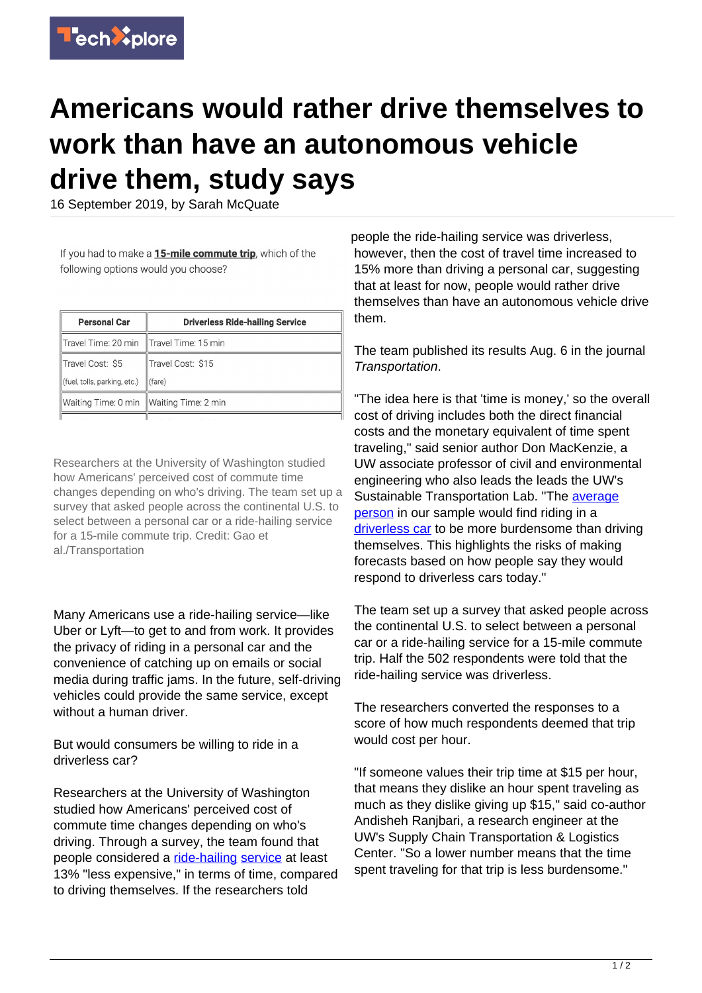

## **Americans would rather drive themselves to work than have an autonomous vehicle drive them, study says**

16 September 2019, by Sarah McQuate

If you had to make a 15-mile commute trip, which of the following options would you choose?

| <b>Personal Car</b>                       | <b>Driverless Ride-hailing Service</b> |
|-------------------------------------------|----------------------------------------|
| Travel Time: 20 min   Travel Time: 15 min |                                        |
| Travel Cost: \$5                          | Travel Cost: \$15                      |
| (fuel, tolls, parking, etc.)              | $l$ (fare)                             |
| Waiting Time: 0 min Waiting Time: 2 min   |                                        |
|                                           |                                        |

Researchers at the University of Washington studied how Americans' perceived cost of commute time changes depending on who's driving. The team set up a survey that asked people across the continental U.S. to select between a personal car or a ride-hailing service for a 15-mile commute trip. Credit: Gao et al./Transportation

Many Americans use a ride-hailing service—like Uber or Lyft—to get to and from work. It provides the privacy of riding in a personal car and the convenience of catching up on emails or social media during traffic jams. In the future, self-driving vehicles could provide the same service, except without a human driver.

But would consumers be willing to ride in a driverless car?

Researchers at the University of Washington studied how Americans' perceived cost of commute time changes depending on who's driving. Through a survey, the team found that people considered a [ride-hailing](https://techxplore.com/tags/ride-hailing/) [service](https://techxplore.com/tags/service/) at least 13% "less expensive," in terms of time, compared to driving themselves. If the researchers told

people the ride-hailing service was driverless, however, then the cost of travel time increased to 15% more than driving a personal car, suggesting that at least for now, people would rather drive themselves than have an autonomous vehicle drive them.

The team published its results Aug. 6 in the journal Transportation.

"The idea here is that 'time is money,' so the overall cost of driving includes both the direct financial costs and the monetary equivalent of time spent traveling," said senior author Don MacKenzie, a UW associate professor of civil and environmental engineering who also leads the leads the UW's Sustainable Transportation Lab. "The **average** [person](https://techxplore.com/tags/average+person/) in our sample would find riding in a [driverless car](https://techxplore.com/tags/driverless+car/) to be more burdensome than driving themselves. This highlights the risks of making forecasts based on how people say they would respond to driverless cars today."

The team set up a survey that asked people across the continental U.S. to select between a personal car or a ride-hailing service for a 15-mile commute trip. Half the 502 respondents were told that the ride-hailing service was driverless.

The researchers converted the responses to a score of how much respondents deemed that trip would cost per hour.

"If someone values their trip time at \$15 per hour, that means they dislike an hour spent traveling as much as they dislike giving up \$15," said co-author Andisheh Ranjbari, a research engineer at the UW's Supply Chain Transportation & Logistics Center. "So a lower number means that the time spent traveling for that trip is less burdensome."